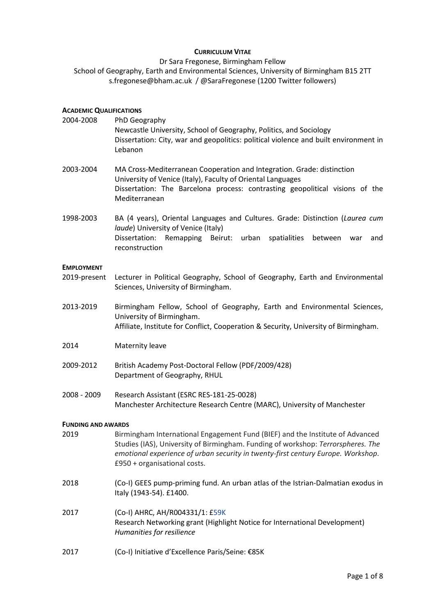# **CURRICULUM VITAE**

Dr Sara Fregonese, Birmingham Fellow School of Geography, Earth and Environmental Sciences, University of Birmingham B15 2TT s.fregonese@bham.ac.uk / @SaraFregonese (1200 Twitter followers)

# **ACADEMIC QUALIFICATIONS**

| 2004-2008                 | PhD Geography<br>Newcastle University, School of Geography, Politics, and Sociology<br>Dissertation: City, war and geopolitics: political violence and built environment in<br>Lebanon                                                                                                |  |  |
|---------------------------|---------------------------------------------------------------------------------------------------------------------------------------------------------------------------------------------------------------------------------------------------------------------------------------|--|--|
| 2003-2004                 | MA Cross-Mediterranean Cooperation and Integration. Grade: distinction<br>University of Venice (Italy), Faculty of Oriental Languages<br>Dissertation: The Barcelona process: contrasting geopolitical visions of the<br>Mediterranean                                                |  |  |
| 1998-2003                 | BA (4 years), Oriental Languages and Cultures. Grade: Distinction (Laurea cum<br>laude) University of Venice (Italy)<br>Dissertation: Remapping Beirut: urban<br>spatialities<br>between<br>war<br>and<br>reconstruction                                                              |  |  |
| <b>EMPLOYMENT</b>         |                                                                                                                                                                                                                                                                                       |  |  |
| 2019-present              | Lecturer in Political Geography, School of Geography, Earth and Environmental<br>Sciences, University of Birmingham.                                                                                                                                                                  |  |  |
| 2013-2019                 | Birmingham Fellow, School of Geography, Earth and Environmental Sciences,<br>University of Birmingham.<br>Affiliate, Institute for Conflict, Cooperation & Security, University of Birmingham.                                                                                        |  |  |
| 2014                      | Maternity leave                                                                                                                                                                                                                                                                       |  |  |
| 2009-2012                 | British Academy Post-Doctoral Fellow (PDF/2009/428)<br>Department of Geography, RHUL                                                                                                                                                                                                  |  |  |
| 2008 - 2009               | Research Assistant (ESRC RES-181-25-0028)<br>Manchester Architecture Research Centre (MARC), University of Manchester                                                                                                                                                                 |  |  |
| <b>FUNDING AND AWARDS</b> |                                                                                                                                                                                                                                                                                       |  |  |
| 2019                      | Birmingham International Engagement Fund (BIEF) and the Institute of Advanced<br>Studies (IAS), University of Birmingham. Funding of workshop: Terrorspheres. The<br>emotional experience of urban security in twenty-first century Europe. Workshop.<br>£950 + organisational costs. |  |  |
| 2018                      | (Co-I) GEES pump-priming fund. An urban atlas of the Istrian-Dalmatian exodus in<br>Italy (1943-54). £1400.                                                                                                                                                                           |  |  |
| 2017                      | (Co-I) AHRC, AH/R004331/1: £59K<br>Research Networking grant (Highlight Notice for International Development)<br>Humanities for resilience                                                                                                                                            |  |  |
| 2017                      | (Co-I) Initiative d'Excellence Paris/Seine: €85K                                                                                                                                                                                                                                      |  |  |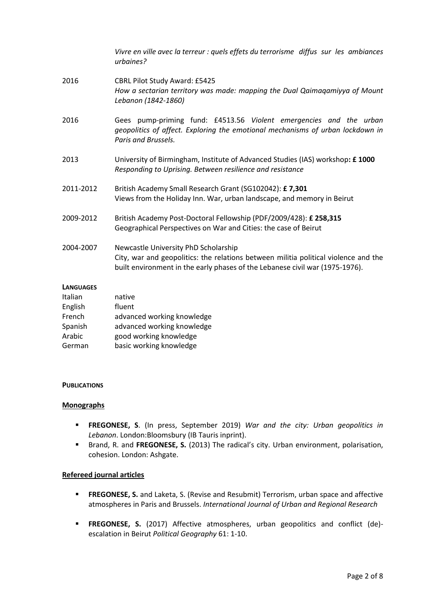|                    | Vivre en ville avec la terreur : quels effets du terrorisme diffus sur les ambiances<br>urbaines?                                                                                                           |
|--------------------|-------------------------------------------------------------------------------------------------------------------------------------------------------------------------------------------------------------|
| 2016               | <b>CBRL Pilot Study Award: £5425</b><br>How a sectarian territory was made: mapping the Dual Qaimagamiyya of Mount<br>Lebanon (1842-1860)                                                                   |
| 2016               | Gees pump-priming fund: £4513.56 Violent emergencies and the urban<br>geopolitics of affect. Exploring the emotional mechanisms of urban lockdown in<br>Paris and Brussels.                                 |
| 2013               | University of Birmingham, Institute of Advanced Studies (IAS) workshop: £1000<br>Responding to Uprising. Between resilience and resistance                                                                  |
| 2011-2012          | British Academy Small Research Grant (SG102042): £7,301<br>Views from the Holiday Inn. War, urban landscape, and memory in Beirut                                                                           |
| 2009-2012          | British Academy Post-Doctoral Fellowship (PDF/2009/428): £ 258,315<br>Geographical Perspectives on War and Cities: the case of Beirut                                                                       |
| 2004-2007          | Newcastle University PhD Scholarship<br>City, war and geopolitics: the relations between militia political violence and the<br>built environment in the early phases of the Lebanese civil war (1975-1976). |
| <b>LANGUAGES</b>   |                                                                                                                                                                                                             |
| Italian            | native                                                                                                                                                                                                      |
| English            | fluent                                                                                                                                                                                                      |
| French             | advanced working knowledge                                                                                                                                                                                  |
| والمشاهدة والمراكب | والمتحال والمستحل والمستقيل والمستحدث المتستحدث والمتس                                                                                                                                                      |

| French  | advanced working knowledge |
|---------|----------------------------|
| Spanish | advanced working knowledge |
| Arabic  | good working knowledge     |
| German  | basic working knowledge    |

#### **PUBLICATIONS**

#### **Monographs**

- **FREGONESE, S**. (In press, September 2019) *War and the city: Urban geopolitics in Lebanon*. London:Bloomsbury (IB Tauris inprint).
- Brand, R. and **FREGONESE, S.** (2013) The radical's city. Urban environment, polarisation, cohesion. London: Ashgate.

### **Refereed journal articles**

- **FREGONESE, S.** and Laketa, S. (Revise and Resubmit) Terrorism, urban space and affective atmospheres in Paris and Brussels. *International Journal of Urban and Regional Research*
- **FREGONESE, S.** (2017) Affective atmospheres, urban geopolitics and conflict (de) escalation in Beirut *Political Geography* 61: 1-10.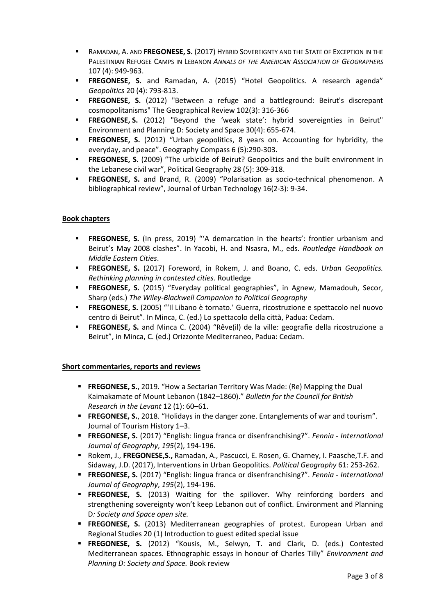- RAMADAN, A. AND **FREGONESE, S.** (2017) HYBRID SOVEREIGNTY AND THE STATE OF EXCEPTION IN THE PALESTINIAN REFUGEE CAMPS IN LEBANON *ANNALS OF THE AMERICAN ASSOCIATION OF GEOGRAPHERS* 107 (4): 949-963.
- **FREGONESE, S.** and Ramadan, A. (2015) "Hotel Geopolitics. A research agenda" *Geopolitics* 20 (4): 793-813.
- **FREGONESE, S.** (2012) "Between a refuge and a battleground: Beirut's discrepant cosmopolitanisms" The Geographical Review 102(3): 316-366
- **FREGONESE, S.** (2012) "Beyond the 'weak state': hybrid sovereignties in Beirut" Environment and Planning D: Society and Space 30(4): 655-674.
- **FREGONESE, S.** (2012) "Urban geopolitics, 8 years on. Accounting for hybridity, the everyday, and peace". Geography Compass 6 (5):290-303.
- **FREGONESE, S.** (2009) "The urbicide of Beirut? Geopolitics and the built environment in the Lebanese civil war", Political Geography 28 (5): 309-318.
- **FREGONESE, S.** and Brand, R. (2009) "Polarisation as socio-technical phenomenon. A bibliographical review", Journal of Urban Technology 16(2-3): 9-34.

## **Book chapters**

- **FREGONESE, S.** (In press, 2019) "'A demarcation in the hearts': frontier urbanism and Beirut's May 2008 clashes". In Yacobi, H. and Nsasra, M., eds. *Routledge Handbook on Middle Eastern Cities*.
- **FREGONESE, S.** (2017) Foreword, in Rokem, J. and Boano, C. eds. *Urban Geopolitics. Rethinking planning in contested cities*. Routledge
- **FREGONESE, S.** (2015) "Everyday political geographies", in Agnew, Mamadouh, Secor, Sharp (eds.) *The Wiley-Blackwell Companion to Political Geography*
- **FREGONESE, S.** (2005) "'Il Libano è tornato.' Guerra, ricostruzione e spettacolo nel nuovo centro di Beirut". In Minca, C. (ed.) Lo spettacolo della città, Padua: Cedam.
- **FREGONESE, S.** and Minca C. (2004) "Rêve(il) de la ville: geografie della ricostruzione a Beirut", in Minca, C. (ed.) Orizzonte Mediterraneo, Padua: Cedam.

## **Short commentaries, reports and reviews**

- **FREGONESE, S.**, 2019. "How a Sectarian Territory Was Made: (Re) Mapping the Dual Kaimakamate of Mount Lebanon (1842–1860)." *Bulletin for the Council for British Research in the Levant* 12 (1): 60–61.
- **FREGONESE, S.**, 2018. "Holidays in the danger zone. Entanglements of war and tourism". Journal of Tourism History 1–3.
- **FREGONESE, S.** (2017) "English: lingua franca or disenfranchising?". *Fennia - International Journal of Geography*, *195*(2), 194-196.
- Rokem, J., **FREGONESE,S.,** Ramadan, A., Pascucci, E. Rosen, G. Charney, I. Paasche,T.F. and Sidaway, J.D. (2017), Interventions in Urban Geopolitics. *Political Geography* 61: 253-262.
- **FREGONESE, S.** (2017) "English: lingua franca or disenfranchising?". *Fennia - International Journal of Geography*, *195*(2), 194-196.
- **FREGONESE, S.** (2013) Waiting for the spillover. Why reinforcing borders and strengthening sovereignty won't keep Lebanon out of conflict. Environment and Planning D*: Society and Space open site.*
- **FREGONESE, S.** (2013) Mediterranean geographies of protest. European Urban and Regional Studies 20 (1) Introduction to guest edited special issue
- **FREGONESE, S.** (2012) "Kousis, M., Selwyn, T. and Clark, D. (eds.) Contested Mediterranean spaces. Ethnographic essays in honour of Charles Tilly" *Environment and Planning D: Society and Space.* Book review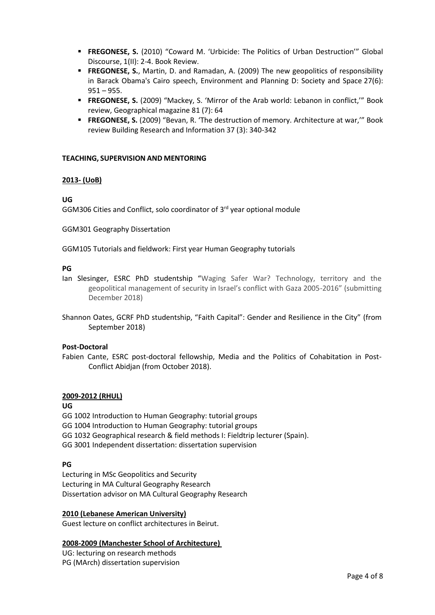- **FREGONESE, S.** (2010) "Coward M. 'Urbicide: The Politics of Urban Destruction'" Global Discourse, 1(II): 2-4. Book Review.
- **FREGONESE, S.**, Martin, D. and Ramadan, A. (2009) The new geopolitics of responsibility in Barack Obama's Cairo speech, Environment and Planning D: Society and Space 27(6):  $951 - 955$ .
- **FREGONESE, S.** (2009) "Mackey, S. 'Mirror of the Arab world: Lebanon in conflict,'" Book review, Geographical magazine 81 (7): 64
- **FREGONESE, S.** (2009) "Bevan, R. 'The destruction of memory. Architecture at war,'" Book review Building Research and Information 37 (3): 340-342

### **TEACHING, SUPERVISION AND MENTORING**

### **2013- (UoB)**

### **UG**

GGM306 Cities and Conflict, solo coordinator of 3<sup>rd</sup> year optional module

GGM301 Geography Dissertation

GGM105 Tutorials and fieldwork: First year Human Geography tutorials

### **PG**

Ian Slesinger, ESRC PhD studentship "Waging Safer War? Technology, territory and the geopolitical management of security in Israel's conflict with Gaza 2005-2016" (submitting December 2018)

Shannon Oates, GCRF PhD studentship, "Faith Capital": Gender and Resilience in the City" (from September 2018)

#### **Post-Doctoral**

Fabien Cante, ESRC post-doctoral fellowship, Media and the Politics of Cohabitation in Post-Conflict Abidjan (from October 2018).

# **2009-2012 (RHUL)**

**UG**

GG 1002 Introduction to Human Geography: tutorial groups GG 1004 Introduction to Human Geography: tutorial groups GG 1032 Geographical research & field methods I: Fieldtrip lecturer (Spain).

GG 3001 Independent dissertation: dissertation supervision

## **PG**

Lecturing in MSc Geopolitics and Security Lecturing in MA Cultural Geography Research Dissertation advisor on MA Cultural Geography Research

## **2010 (Lebanese American University)**

Guest lecture on conflict architectures in Beirut.

## **2008-2009 (Manchester School of Architecture)**

UG: lecturing on research methods PG (MArch) dissertation supervision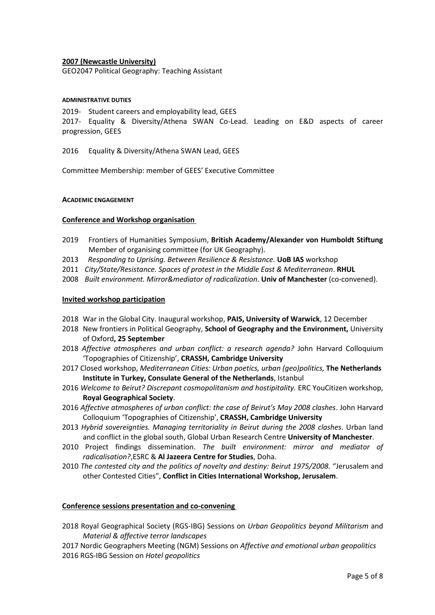## **2007 (Newcastle University)**

GEO2047 Political Geography: Teaching Assistant

#### **ADMINISTRATIVE DUTIES**

2019- Student careers and employability lead, GEES

2017- Equality & Diversity/Athena SWAN Co-Lead. Leading on E&D aspects of career progression, GEES

2016 Equality & Diversity/Athena SWAN Lead, GEES

Committee Membership: member of GEES' Executive Committee

#### **ACADEMIC ENGAGEMENT**

### **Conference and Workshop organisation**

- 2019 Frontiers of Humanities Symposium, **British Academy/Alexander von Humboldt Stiftung** Member of organising committee (for UK Geography).
- 2013 *Responding to Uprising. Between Resilience & Resistance.* **UoB IAS** workshop
- 2011 *City/State/Resistance. Spaces of protest in the Middle East & Mediterranean*. **RHUL**
- 2008 *Built environment. Mirror&mediator of radicalization*. **Univ of Manchester** (co-convened).

### **Invited workshop participation**

- 2018 War in the Global City. Inaugural workshop, **PAIS, University of Warwick**, 12 December
- 2018 New frontiers in Political Geography, **School of Geography and the Environment,** University of Oxford**, 25 September**
- 2018 *Affective atmospheres and urban conflict: a research agenda?* John Harvard Colloquium 'Topographies of Citizenship', **CRASSH, Cambridge University**
- 2017 Closed workshop, *Mediterranean Cities: Urban poetics, urban (geo)politics,* **The Netherlands Institute in Turkey, Consulate General of the Netherlands**, Istanbul
- 2016 *Welcome to Beirut? Discrepant cosmopolitanism and hostipitality.* ERC YouCitizen workshop, **Royal Geographical Society**.
- 2016 *Affective atmospheres of urban conflict: the case of Beirut's May 2008 clashes*. John Harvard Colloquium 'Topographies of Citizenship', **CRASSH, Cambridge University**
- 2013 *Hybrid sovereignties. Managing territoriality in Beirut during the 2008 clashes*. Urban land and conflict in the global south, Global Urban Research Centre **University of Manchester**.
- 2010 Project findings dissemination. *The built environment: mirror and mediator of radicalisation?*,ESRC & **Al Jazeera Centre for Studies**, Doha.
- 2010 *The contested city and the politics of novelty and destiny: Beirut 1975/2008.* "Jerusalem and other Contested Cities", **Conflict in Cities International Workshop, Jerusalem**.

#### **Conference sessions presentation and co-convening**

- 2018 Royal Geographical Society (RGS-IBG) Sessions on *Urban Geopolitics beyond Militarism* and *Material & affective terror landscapes*
- 2017 Nordic Geographers Meeting (NGM) Sessions on *Affective and emotional urban geopolitics* 2016 RGS-IBG Session on *Hotel geopolitics*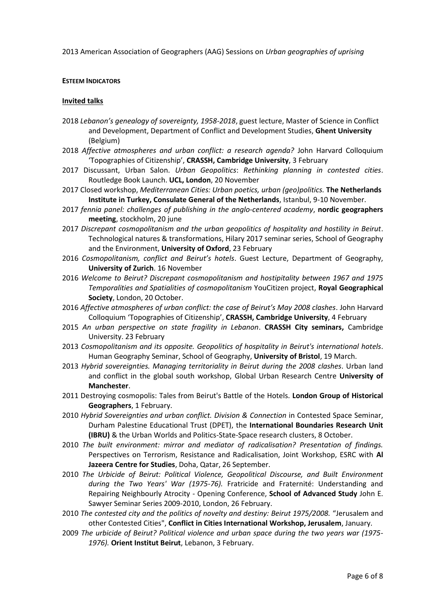2013 American Association of Geographers (AAG) Sessions on *Urban geographies of uprising*

#### **ESTEEM INDICATORS**

#### **Invited talks**

- 2018 *Lebanon's genealogy of sovereignty, 1958-2018*, guest lecture, Master of Science in Conflict and Development, Department of Conflict and Development Studies, **Ghent University** (Belgium)
- 2018 *Affective atmospheres and urban conflict: a research agenda?* John Harvard Colloquium 'Topographies of Citizenship', **CRASSH, Cambridge University**, 3 February
- 2017 Discussant, Urban Salon. *Urban Geopolitics*: *Rethinking planning in contested cities*. Routledge Book Launch. **UCL, London**, 20 November
- 2017 Closed workshop, *Mediterranean Cities: Urban poetics, urban (geo)politics.* **The Netherlands Institute in Turkey, Consulate General of the Netherlands**, Istanbul, 9-10 November.
- 2017 *fennia panel: challenges of publishing in the anglo-centered academy*, **nordic geographers meeting**, stockholm, 20 june
- 2017 *Discrepant cosmopolitanism and the urban geopolitics of hospitality and hostility in Beirut*. Technological natures & transformations, Hilary 2017 seminar series, School of Geography and the Environment, **University of Oxford**, 23 February
- 2016 *Cosmopolitanism, conflict and Beirut's hotels*. Guest Lecture, Department of Geography, **University of Zurich**. 16 November
- 2016 *Welcome to Beirut? Discrepant cosmopolitanism and hostipitality between 1967 and 1975 Temporalities and Spatialities of cosmopolitanism* YouCitizen project, **Royal Geographical Society**, London, 20 October.
- 2016 *Affective atmospheres of urban conflict: the case of Beirut's May 2008 clashes*. John Harvard Colloquium 'Topographies of Citizenship', **CRASSH, Cambridge University**, 4 February
- 2015 *An urban perspective on state fragility in Lebanon*. **CRASSH City seminars,** Cambridge University. 23 February
- 2013 *Cosmopolitanism and its opposite. Geopolitics of hospitality in Beirut's international hotels*. Human Geography Seminar, School of Geography, **University of Bristol**, 19 March.
- 2013 *Hybrid sovereignties. Managing territoriality in Beirut during the 2008 clashes*. Urban land and conflict in the global south workshop, Global Urban Research Centre **University of Manchester**.
- 2011 Destroying cosmopolis: Tales from Beirut's Battle of the Hotels. **London Group of Historical Geographers**, 1 February.
- 2010 *Hybrid Sovereignties and urban conflict. Division & Connection* in Contested Space Seminar, Durham Palestine Educational Trust (DPET), the **International Boundaries Research Unit (IBRU)** & the Urban Worlds and Politics-State-Space research clusters, 8 October.
- 2010 *The built environment: mirror and mediator of radicalisation? Presentation of findings.* Perspectives on Terrorism, Resistance and Radicalisation, Joint Workshop, ESRC with **Al Jazeera Centre for Studies**, Doha, Qatar, 26 September.
- 2010 *The Urbicide of Beirut: Political Violence, Geopolitical Discourse, and Built Environment during the Two Years' War (1975-76).* Fratricide and Fraternité: Understanding and Repairing Neighbourly Atrocity - Opening Conference, **School of Advanced Study** John E. Sawyer Seminar Series 2009-2010, London, 26 February.
- 2010 *The contested city and the politics of novelty and destiny: Beirut 1975/2008.* "Jerusalem and other Contested Cities", **Conflict in Cities International Workshop, Jerusalem**, January.
- 2009 *The urbicide of Beirut? Political violence and urban space during the two years war (1975- 1976).* **Orient Institut Beirut**, Lebanon, 3 February.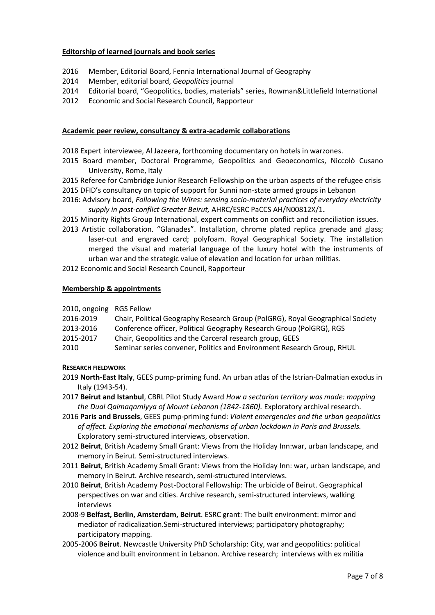# **Editorship of learned journals and book series**

- 2016 Member, Editorial Board, Fennia International Journal of Geography
- 2014 Member, editorial board, *Geopolitics* journal
- 2014 Editorial board, "Geopolitics, bodies, materials" series, Rowman&Littlefield International
- 2012 Economic and Social Research Council, Rapporteur

## **Academic peer review, consultancy & extra-academic collaborations**

- 2018 Expert interviewee, Al Jazeera, forthcoming documentary on hotels in warzones.
- 2015 Board member, Doctoral Programme, Geopolitics and Geoeconomics, Niccolò Cusano University, Rome, Italy
- 2015 Referee for Cambridge Junior Research Fellowship on the urban aspects of the refugee crisis
- 2015 DFID's consultancy on topic of support for Sunni non-state armed groups in Lebanon
- 2016: Advisory board, *Following the Wires: sensing socio-material practices of everyday electricity supply in post-conflict Greater Beirut,* AHRC/ESRC PaCCS AH/N00812X/1**.**
- 2015 Minority Rights Group International, expert comments on conflict and reconciliation issues.
- 2013 Artistic collaboration. "Glanades". Installation, chrome plated replica grenade and glass; laser-cut and engraved card; polyfoam. Royal Geographical Society. The installation merged the visual and material language of the luxury hotel with the instruments of urban war and the strategic value of elevation and location for urban militias.
- 2012 Economic and Social Research Council, Rapporteur

### **Membership & appointments**

| 2010, ongoing RGS Fellow |  |
|--------------------------|--|
|                          |  |

- 2016-2019 Chair, Political Geography Research Group (PolGRG), Royal Geographical Society
- 2013-2016 Conference officer, Political Geography Research Group (PolGRG), RGS
- 2015-2017 Chair, Geopolitics and the Carceral research group, GEES
- 2010 Seminar series convener, Politics and Environment Research Group, RHUL

## **RESEARCH FIELDWORK**

- 2019 **North-East Italy**, GEES pump-priming fund. An urban atlas of the Istrian-Dalmatian exodus in Italy (1943-54).
- 2017 **Beirut and Istanbul**, CBRL Pilot Study Award *How a sectarian territory was made: mapping the Dual Qaimaqamiyya of Mount Lebanon (1842-1860).* Exploratory archival research.
- 2016 **Paris and Brussels**, GEES pump-priming fund: *Violent emergencies and the urban geopolitics of affect. Exploring the emotional mechanisms of urban lockdown in Paris and Brussels.*  Exploratory semi-structured interviews, observation.
- 2012 **Beirut**, British Academy Small Grant: Views from the Holiday Inn:war, urban landscape, and memory in Beirut. Semi-structured interviews.
- 2011 **Beirut**, British Academy Small Grant: Views from the Holiday Inn: war, urban landscape, and memory in Beirut. Archive research, semi-structured interviews.
- 2010 **Beirut**, British Academy Post-Doctoral Fellowship: The urbicide of Beirut. Geographical perspectives on war and cities. Archive research, semi-structured interviews, walking interviews
- 2008-9 **Belfast, Berlin, Amsterdam, Beirut**. ESRC grant: The built environment: mirror and mediator of radicalization.Semi-structured interviews; participatory photography; participatory mapping.
- 2005-2006 **Beirut**. Newcastle University PhD Scholarship: City, war and geopolitics: political violence and built environment in Lebanon. Archive research; interviews with ex militia